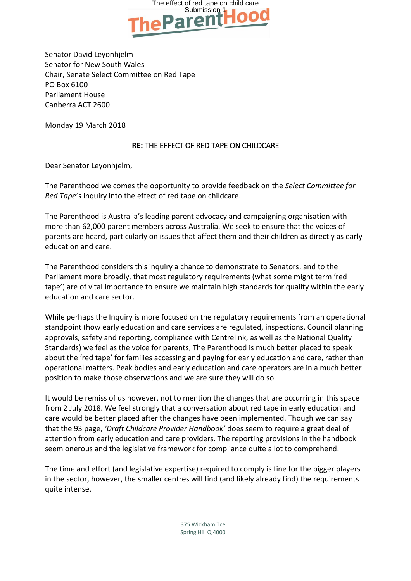

Senator David Leyonhjelm Senator for New South Wales Chair, Senate Select Committee on Red Tape PO Box 6100 Parliament House Canberra ACT 2600

Monday 19 March 2018

## **RE:** THE EFFECT OF RED TAPE ON CHILDCARE

Dear Senator Leyonhjelm,

The Parenthood welcomes the opportunity to provide feedback on the *Select Committee for Red Tape's* inquiry into the effect of red tape on childcare.

The Parenthood is Australia's leading parent advocacy and campaigning organisation with more than 62,000 parent members across Australia. We seek to ensure that the voices of parents are heard, particularly on issues that affect them and their children as directly as early education and care.

The Parenthood considers this inquiry a chance to demonstrate to Senators, and to the Parliament more broadly, that most regulatory requirements (what some might term 'red tape') are of vital importance to ensure we maintain high standards for quality within the early education and care sector.

While perhaps the Inquiry is more focused on the regulatory requirements from an operational standpoint (how early education and care services are regulated, inspections, Council planning approvals, safety and reporting, compliance with Centrelink, as well as the National Quality Standards) we feel as the voice for parents, The Parenthood is much better placed to speak about the 'red tape' for families accessing and paying for early education and care, rather than operational matters. Peak bodies and early education and care operators are in a much better position to make those observations and we are sure they will do so.

It would be remiss of us however, not to mention the changes that are occurring in this space from 2 July 2018. We feel strongly that a conversation about red tape in early education and care would be better placed after the changes have been implemented. Though we can say that the 93 page, *'Draft Childcare Provider Handbook'* does seem to require a great deal of attention from early education and care providers. The reporting provisions in the handbook seem onerous and the legislative framework for compliance quite a lot to comprehend.

The time and effort (and legislative expertise) required to comply is fine for the bigger players in the sector, however, the smaller centres will find (and likely already find) the requirements quite intense.

> 375 Wickham Tce Spring Hill Q 4000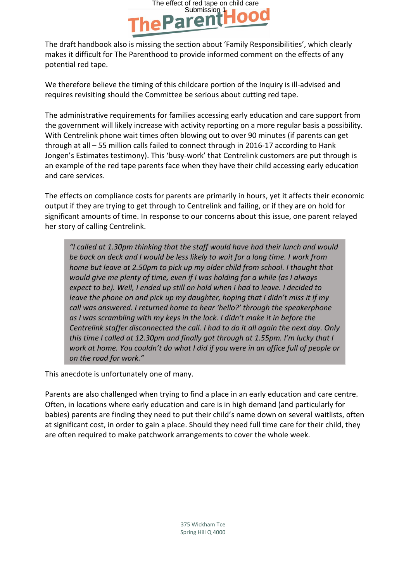

The draft handbook also is missing the section about 'Family Responsibilities', which clearly makes it difficult for The Parenthood to provide informed comment on the effects of any potential red tape.

We therefore believe the timing of this childcare portion of the Inquiry is ill-advised and requires revisiting should the Committee be serious about cutting red tape.

The administrative requirements for families accessing early education and care support from the government will likely increase with activity reporting on a more regular basis a possibility. With Centrelink phone wait times often blowing out to over 90 minutes (if parents can get through at all – 55 million calls failed to connect through in 2016-17 according to Hank Jongen's Estimates testimony). This 'busy-work' that Centrelink customers are put through is an example of the red tape parents face when they have their child accessing early education and care services.

The effects on compliance costs for parents are primarily in hours, yet it affects their economic output if they are trying to get through to Centrelink and failing, or if they are on hold for significant amounts of time. In response to our concerns about this issue, one parent relayed her story of calling Centrelink.

*"I called at 1.30pm thinking that the staff would have had their lunch and would be back on deck and I would be less likely to wait for a long time. I work from home but leave at 2.50pm to pick up my older child from school. I thought that would give me plenty of time, even if I was holding for a while (as I always expect to be). Well, I ended up still on hold when I had to leave. I decided to leave the phone on and pick up my daughter, hoping that I didn't miss it if my call was answered. I returned home to hear 'hello?' through the speakerphone as I was scrambling with my keys in the lock. I didn't make it in before the Centrelink staffer disconnected the call. I had to do it all again the next day. Only this time I called at 12.30pm and finally got through at 1.55pm. I'm lucky that I work at home. You couldn't do what I did if you were in an office full of people or on the road for work."*

This anecdote is unfortunately one of many.

Parents are also challenged when trying to find a place in an early education and care centre. Often, in locations where early education and care is in high demand (and particularly for babies) parents are finding they need to put their child's name down on several waitlists, often at significant cost, in order to gain a place. Should they need full time care for their child, they are often required to make patchwork arrangements to cover the whole week.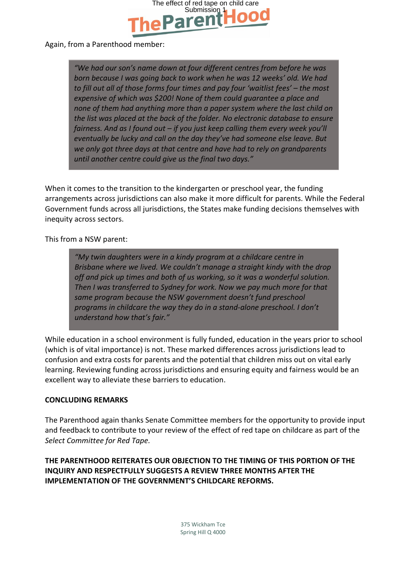

## Again, from a Parenthood member:

*"We had our son's name down at four different centres from before he was born because I was going back to work when he was 12 weeks' old. We had to fill out all of those forms four times and pay four 'waitlist fees' – the most expensive of which was \$200! None of them could guarantee a place and none of them had anything more than a paper system where the last child on the list was placed at the back of the folder. No electronic database to ensure fairness. And as I found out – if you just keep calling them every week you'll eventually be lucky and call on the day they've had someone else leave. But we only got three days at that centre and have had to rely on grandparents until another centre could give us the final two days."*

When it comes to the transition to the kindergarten or preschool year, the funding arrangements across jurisdictions can also make it more difficult for parents. While the Federal Government funds across all jurisdictions, the States make funding decisions themselves with inequity across sectors.

This from a NSW parent:

*"My twin daughters were in a kindy program at a childcare centre in Brisbane where we lived. We couldn't manage a straight kindy with the drop off and pick up times and both of us working, so it was a wonderful solution. Then I was transferred to Sydney for work. Now we pay much more for that same program because the NSW government doesn't fund preschool programs in childcare the way they do in a stand-alone preschool. I don't understand how that's fair."*

While education in a school environment is fully funded, education in the years prior to school (which is of vital importance) is not. These marked differences across jurisdictions lead to confusion and extra costs for parents and the potential that children miss out on vital early learning. Reviewing funding across jurisdictions and ensuring equity and fairness would be an excellent way to alleviate these barriers to education.

## **CONCLUDING REMARKS**

The Parenthood again thanks Senate Committee members for the opportunity to provide input and feedback to contribute to your review of the effect of red tape on childcare as part of the *Select Committee for Red Tape.*

**THE PARENTHOOD REITERATES OUR OBJECTION TO THE TIMING OF THIS PORTION OF THE INQUIRY AND RESPECTFULLY SUGGESTS A REVIEW THREE MONTHS AFTER THE IMPLEMENTATION OF THE GOVERNMENT'S CHILDCARE REFORMS.**

> 375 Wickham Tce Spring Hill Q 4000